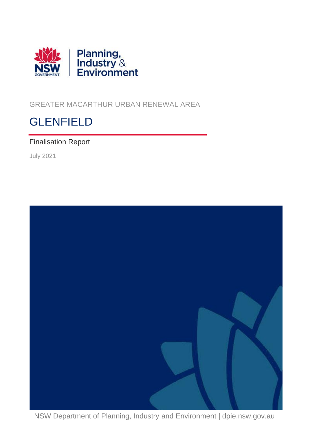

<span id="page-0-0"></span>GREATER MACARTHUR URBAN RENEWAL AREA

# **GLENFIELD**

## Finalisation Report

July 2021



NSW Department of Planning, Industry and Environment | dpie.nsw.gov.au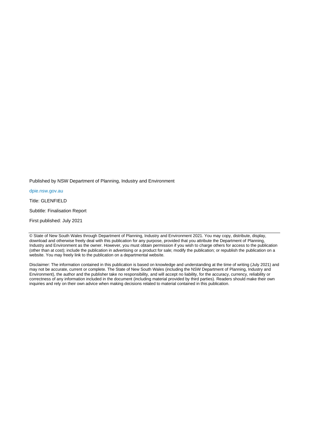Published by NSW Department of Planning, Industry and Environment

[dpie.nsw.gov.au](http://www.dpie.nsw.gov.au/)

Title: GLENFIELD

Subtitle: Finalisation Report

First published: July 2021

Disclaimer: The information contained in this publication is based on knowledge and understanding at the time of writing (July 2021) and may not be accurate, current or complete. The State of New South Wales (including the NSW Department of Planning, Industry and Environment), the author and the publisher take no responsibility, and will accept no liability, for the accuracy, currency, reliability or correctness of any information included in the document (including material provided by third parties). Readers should make their own inquiries and rely on their own advice when making decisions related to material contained in this publication.

<sup>©</sup> State of New South Wales through Department of Planning, Industry and Environment 2021. You may copy, distribute, display, download and otherwise freely deal with this publication for any purpose, provided that you attribute the Department of Planning, Industry and Environment as the owner. However, you must obtain permission if you wish to charge others for access to the publication (other than at cost); include the publication in advertising or a product for sale; modify the publication; or republish the publication on a website. You may freely link to the publication on a departmental website.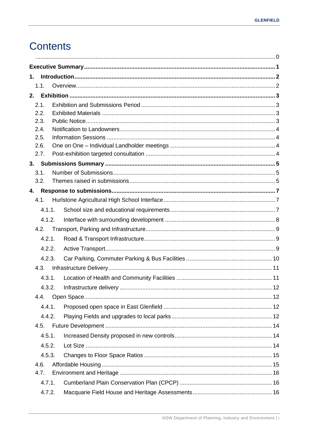# **Contents**

| 1. |              |                                |  |
|----|--------------|--------------------------------|--|
|    | 1.1.         |                                |  |
| 2. |              |                                |  |
|    | 2.1.         |                                |  |
|    | 2.2.         |                                |  |
|    | 2.3.         |                                |  |
|    | 2.4.<br>2.5. |                                |  |
|    | 2.6.         |                                |  |
|    | 2.7.         |                                |  |
| 3. |              |                                |  |
|    | 3.1.         |                                |  |
|    | 3.2.         |                                |  |
| 4. |              |                                |  |
|    | 4.1.         |                                |  |
|    | 4.1.1.       |                                |  |
|    | 4.1.2.       |                                |  |
|    | 4.2.         |                                |  |
|    | 4.2.1.       |                                |  |
|    | 4.2.2.       |                                |  |
|    | 4.2.3.       |                                |  |
|    | 4.3.         |                                |  |
|    | 4.3.1.       |                                |  |
|    | 4.3.2        | Infrastructure delivery.<br>12 |  |
|    | 4.4.         |                                |  |
|    | 4.4.1.       |                                |  |
|    | 4.4.2.       |                                |  |
|    | 4.5.         |                                |  |
|    | 4.5.1.       |                                |  |
|    | 4.5.2.       |                                |  |
|    | 4.5.3.       |                                |  |
|    | 4.6.         |                                |  |
|    | 4.7.         |                                |  |
|    | 4.7.1.       |                                |  |
|    | 4.7.2.       |                                |  |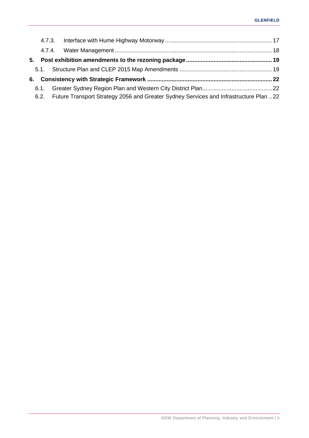| 5. |                                                                                            |  |
|----|--------------------------------------------------------------------------------------------|--|
|    |                                                                                            |  |
| 6. |                                                                                            |  |
|    |                                                                                            |  |
|    | 6.2. Future Transport Strategy 2056 and Greater Sydney Services and Infrastructure Plan 22 |  |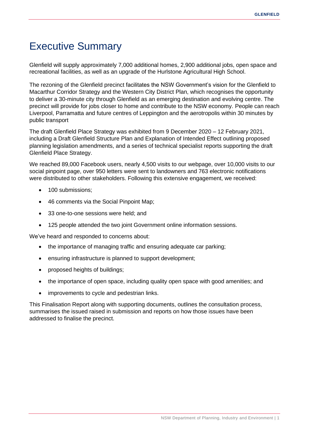# <span id="page-4-0"></span>Executive Summary

Glenfield will supply approximately 7,000 additional homes, 2,900 additional jobs, open space and recreational facilities, as well as an upgrade of the Hurlstone Agricultural High School.

The rezoning of the Glenfield precinct facilitates the NSW Government's vision for the Glenfield to Macarthur Corridor Strategy and the Western City District Plan, which recognises the opportunity to deliver a 30-minute city through Glenfield as an emerging destination and evolving centre. The precinct will provide for jobs closer to home and contribute to the NSW economy. People can reach Liverpool, Parramatta and future centres of Leppington and the aerotropolis within 30 minutes by public transport

The draft Glenfield Place Strategy was exhibited from 9 December 2020 – 12 February 2021, including a Draft Glenfield Structure Plan and Explanation of Intended Effect outlining proposed planning legislation amendments, and a series of technical specialist reports supporting the draft Glenfield Place Strategy.

We reached 89,000 Facebook users, nearly 4,500 visits to our webpage, over 10,000 visits to our social pinpoint page, over 950 letters were sent to landowners and 763 electronic notifications were distributed to other stakeholders. Following this extensive engagement, we received:

- 100 submissions:
- 46 comments via the Social Pinpoint Map;
- 33 one-to-one sessions were held; and
- 125 people attended the two joint Government online information sessions.

We've heard and responded to concerns about:

- the importance of managing traffic and ensuring adequate car parking;
- ensuring infrastructure is planned to support development;
- proposed heights of buildings;
- the importance of open space, including quality open space with good amenities; and
- improvements to cycle and pedestrian links.

This Finalisation Report along with supporting documents, outlines the consultation process, summarises the issued raised in submission and reports on how those issues have been addressed to finalise the precinct.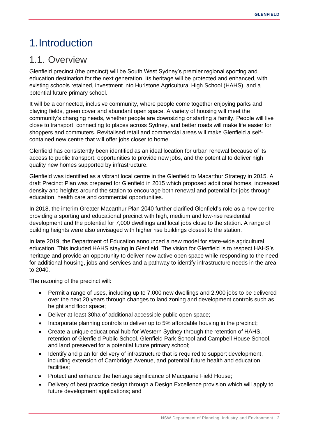# <span id="page-5-0"></span>1.Introduction

## <span id="page-5-1"></span>1.1. Overview

Glenfield precinct (the precinct) will be South West Sydney's premier regional sporting and education destination for the next generation. Its heritage will be protected and enhanced, with existing schools retained, investment into Hurlstone Agricultural High School (HAHS), and a potential future primary school.

It will be a connected, inclusive community, where people come together enjoying parks and playing fields, green cover and abundant open space. A variety of housing will meet the community's changing needs, whether people are downsizing or starting a family. People will live close to transport, connecting to places across Sydney, and better roads will make life easier for shoppers and commuters. Revitalised retail and commercial areas will make Glenfield a selfcontained new centre that will offer jobs closer to home.

Glenfield has consistently been identified as an ideal location for urban renewal because of its access to public transport, opportunities to provide new jobs, and the potential to deliver high quality new homes supported by infrastructure.

Glenfield was identified as a vibrant local centre in the Glenfield to Macarthur Strategy in 2015. A draft Precinct Plan was prepared for Glenfield in 2015 which proposed additional homes, increased density and heights around the station to encourage both renewal and potential for jobs through education, health care and commercial opportunities.

In 2018, the interim Greater Macarthur Plan 2040 further clarified Glenfield's role as a new centre providing a sporting and educational precinct with high, medium and low-rise residential development and the potential for 7,000 dwellings and local jobs close to the station. A range of building heights were also envisaged with higher rise buildings closest to the station.

In late 2019, the Department of Education announced a new model for state-wide agricultural education. This included HAHS staying in Glenfield. The vision for Glenfield is to respect HAHS's heritage and provide an opportunity to deliver new active open space while responding to the need for additional housing, jobs and services and a pathway to identify infrastructure needs in the area to 2040.

The rezoning of the precinct will:

- Permit a range of uses, including up to 7,000 new dwellings and 2,900 jobs to be delivered over the next 20 years through changes to land zoning and development controls such as height and floor space;
- Deliver at-least 30ha of additional accessible public open space;
- Incorporate planning controls to deliver up to 5% affordable housing in the precinct;
- Create a unique educational hub for Western Sydney through the retention of HAHS, retention of Glenfield Public School, Glenfield Park School and Campbell House School, and land preserved for a potential future primary school;
- Identify and plan for delivery of infrastructure that is required to support development, including extension of Cambridge Avenue, and potential future health and education facilities;
- Protect and enhance the heritage significance of Macquarie Field House;
- Delivery of best practice design through a Design Excellence provision which will apply to future development applications; and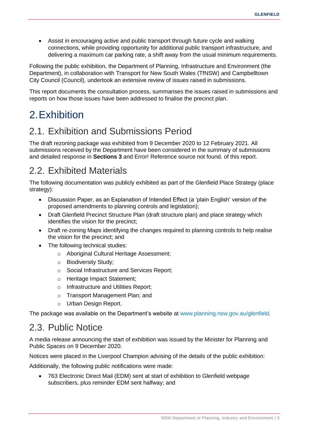• Assist in encouraging active and public transport through future cycle and walking connections, while providing opportunity for additional public transport infrastructure, and delivering a maximum car parking rate, a shift away from the usual minimum requirements.

Following the public exhibition, the Department of Planning, Infrastructure and Environment (the Department), in collaboration with Transport for New South Wales (TfNSW) and Campbelltown City Council (Council), undertook an extensive review of issues raised in submissions.

This report documents the consultation process, summarises the issues raised in submissions and reports on how those issues have been addressed to finalise the precinct plan.

# <span id="page-6-0"></span>2.Exhibition

# <span id="page-6-1"></span>2.1. Exhibition and Submissions Period

The draft rezoning package was exhibited from 9 December 2020 to 12 February 2021. All submissions received by the Department have been considered in the summary of submissions and detailed response in **Sections [3](#page-8-0)** and Error! Reference source not found. of this report.

# <span id="page-6-2"></span>2.2. Exhibited Materials

The following documentation was publicly exhibited as part of the Glenfield Place Strategy (place strategy):

- Discussion Paper, as an Explanation of Intended Effect (a 'plain English' version of the proposed amendments to planning controls and legislation);
- Draft Glenfield Precinct Structure Plan (draft structure plan) and place strategy which identifies the vision for the precinct;
- Draft re-zoning Maps identifying the changes required to planning controls to help realise the vision for the precinct; and
- The following technical studies:
	- o Aboriginal Cultural Heritage Assessment;
	- o Biodiversity Study;
	- o Social Infrastructure and Services Report;
	- o Heritage Impact Statement;
	- o Infrastructure and Utilities Report;
	- o Transport Management Plan; and
	- o Urban Design Report.

The package was available on the Department's website at [www.planning.nsw.gov.au/](http://www.planning.nsw.gov.au/)glenfield.

## <span id="page-6-3"></span>2.3. Public Notice

A media release announcing the start of exhibition was issued by the Minister for Planning and Public Spaces on 9 December 2020.

Notices were placed in the Liverpool Champion advising of the details of the public exhibition:

Additionally, the following public notifications were made:

• 763 Electronic Direct Mail (EDM) sent at start of exhibition to Glenfield webpage subscribers, plus reminder EDM sent halfway; and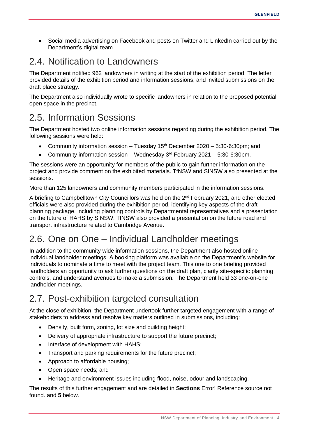• Social media advertising on Facebook and posts on Twitter and LinkedIn carried out by the Department's digital team.

# <span id="page-7-0"></span>2.4. Notification to Landowners

The Department notified 962 landowners in writing at the start of the exhibition period. The letter provided details of the exhibition period and information sessions, and invited submissions on the draft place strategy.

The Department also individually wrote to specific landowners in relation to the proposed potential open space in the precinct.

## <span id="page-7-1"></span>2.5. Information Sessions

The Department hosted two online information sessions regarding during the exhibition period. The following sessions were held:

- Community information session Tuesday  $15<sup>th</sup>$  December 2020 5:30-6:30pm; and
- Community information session Wednesday  $3<sup>rd</sup>$  February 2021 5:30-6:30pm.

The sessions were an opportunity for members of the public to gain further information on the project and provide comment on the exhibited materials. TfNSW and SINSW also presented at the sessions.

More than 125 landowners and community members participated in the information sessions.

A briefing to Campbelltown City Councillors was held on the 2<sup>nd</sup> February 2021, and other elected officials were also provided during the exhibition period, identifying key aspects of the draft planning package, including planning controls by Departmental representatives and a presentation on the future of HAHS by SINSW. TfNSW also provided a presentation on the future road and transport infrastructure related to Cambridge Avenue.

# <span id="page-7-2"></span>2.6. One on One – Individual Landholder meetings

In addition to the community wide information sessions, the Department also hosted online individual landholder meetings. A booking platform was available on the Department's website for individuals to nominate a time to meet with the project team. This one to one briefing provided landholders an opportunity to ask further questions on the draft plan, clarify site-specific planning controls, and understand avenues to make a submission. The Department held 33 one-on-one landholder meetings.

## <span id="page-7-3"></span>2.7. Post-exhibition targeted consultation

At the close of exhibition, the Department undertook further targeted engagement with a range of stakeholders to address and resolve key matters outlined in submissions, including:

- Density, built form, zoning, lot size and building height;
- Delivery of appropriate infrastructure to support the future precinct:
- Interface of development with HAHS;
- Transport and parking requirements for the future precinct;
- Approach to affordable housing;
- Open space needs; and
- Heritage and environment issues including flood, noise, odour and landscaping.

The results of this further engagement and are detailed in **Sections** Error! Reference source not found. and **[5](#page-22-0)** below.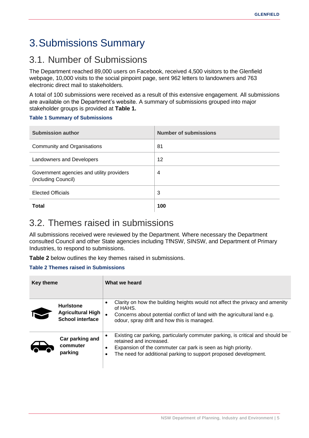# <span id="page-8-0"></span>3.Submissions Summary

# <span id="page-8-1"></span>3.1. Number of Submissions

The Department reached 89,000 users on Facebook, received 4,500 visitors to the Glenfield webpage, 10,000 visits to the social pinpoint page, sent 962 letters to landowners and 763 electronic direct mail to stakeholders.

A total of 100 submissions were received as a result of this extensive engagement. All submissions are available on the Department's website. A summary of submissions grouped into major stakeholder groups is provided at **[Table 1.](#page-8-3)**

#### <span id="page-8-3"></span>**Table 1 Summary of Submissions**

| <b>Submission author</b>                                         | <b>Number of submissions</b> |
|------------------------------------------------------------------|------------------------------|
| Community and Organisations                                      | 81                           |
| Landowners and Developers                                        | 12                           |
| Government agencies and utility providers<br>(including Council) | 4                            |
| <b>Elected Officials</b>                                         | 3                            |
| Total                                                            | 100                          |

## <span id="page-8-2"></span>3.2. Themes raised in submissions

All submissions received were reviewed by the Department. Where necessary the Department consulted Council and other State agencies including TfNSW, SINSW, and Department of Primary Industries, to respond to submissions.

**[Table 2](#page-8-4)** below outlines the key themes raised in submissions.

#### <span id="page-8-4"></span>**Table 2 Themes raised in Submissions**

| <b>Key theme</b> |                                                                         | What we heard                                                                                                                                                                                                                                                |  |  |
|------------------|-------------------------------------------------------------------------|--------------------------------------------------------------------------------------------------------------------------------------------------------------------------------------------------------------------------------------------------------------|--|--|
|                  | <b>Hurlstone</b><br><b>Agricultural High</b><br><b>School interface</b> | Clarity on how the building heights would not affect the privacy and amenity<br>٠<br>of HAHS.<br>Concerns about potential conflict of land with the agricultural land e.g.<br>odour, spray drift and how this is managed.                                    |  |  |
|                  | Car parking and<br>commuter<br>parking                                  | Existing car parking, particularly commuter parking, is critical and should be<br>٠<br>retained and increased.<br>Expansion of the commuter car park is seen as high priority.<br>٠<br>The need for additional parking to support proposed development.<br>٠ |  |  |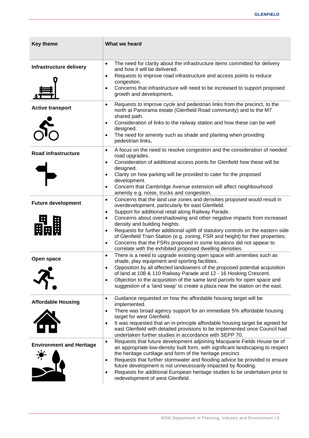| <b>Key theme</b>                | What we heard                                                                                                                                                                                                                                                                                                                                                                                                                                                                                                                                                                                                                                                             |
|---------------------------------|---------------------------------------------------------------------------------------------------------------------------------------------------------------------------------------------------------------------------------------------------------------------------------------------------------------------------------------------------------------------------------------------------------------------------------------------------------------------------------------------------------------------------------------------------------------------------------------------------------------------------------------------------------------------------|
| Infrastructure delivery         | The need for clarity about the infrastructure items committed for delivery<br>$\bullet$<br>and how it will be delivered.<br>Requests to improve road infrastructure and access points to reduce<br>congestion.<br>Concerns that infrastructure will need to be increased to support proposed<br>$\bullet$<br>growth and development.                                                                                                                                                                                                                                                                                                                                      |
| <b>Active transport</b>         | Requests to improve cycle and pedestrian links from the precinct, to the<br>$\bullet$<br>north at Panorama estate (Glenfield Road community) and to the M7<br>shared path.<br>Consideration of links to the railway station and how these can be well<br>٠<br>designed.<br>The need for amenity such as shade and planting when providing<br>٠<br>pedestrian links.                                                                                                                                                                                                                                                                                                       |
| <b>Road infrastructure</b>      | A focus on the need to resolve congestion and the consideration of needed<br>$\bullet$<br>road upgrades.<br>Consideration of additional access points for Glenfield how these will be<br>$\bullet$<br>designed.<br>Clarity on how parking will be provided to cater for the proposed<br>$\bullet$<br>development.<br>Concern that Cambridge Avenue extension will affect neighbourhood<br>$\bullet$<br>amenity e.g. noise, trucks and congestion.                                                                                                                                                                                                                         |
| <b>Future development</b>       | Concerns that the land use zones and densities proposed would result in<br>$\bullet$<br>overdevelopment, particularly for east Glenfield.<br>Support for additional retail along Railway Parade.<br>$\bullet$<br>Concerns about overshadowing and other negative impacts from increased<br>$\bullet$<br>density and building heights.<br>Requests for further additional uplift of statutory controls on the eastern side<br>$\bullet$<br>of Glenfield Train Station (e.g. zoning, FSR and height) for their properties;<br>Concerns that the FSRs proposed in some locations did not appear to<br>$\bullet$<br>correlate with the exhibited proposed dwelling densities. |
| Open space                      | There is a need to upgrade existing open space with amenities such as<br>$\bullet$<br>shade, play equipment and sporting facilities.<br>Opposition by all affected landowners of the proposed potential acquisition<br>$\bullet$<br>of land at 108 & 110 Railway Parade and 12 - 16 Hosking Crescent.<br>Objection to the acquisition of the same land parcels for open space and<br>$\bullet$<br>suggestion of a 'land swap' to create a plaza near the station on the east.                                                                                                                                                                                             |
| <b>Affordable Housing</b>       | Guidance requested on how the affordable housing target will be<br>$\bullet$<br>implemented.<br>There was broad agency support for an immediate 5% affordable housing<br>٠<br>target for west Glenfield.<br>It was requested that an in-principle affordable housing target be agreed for<br>٠<br>east Glenfield with detailed provisions to be implemented once Council had<br>undertaken further studies in accordance with SEPP 70.                                                                                                                                                                                                                                    |
| <b>Environment and Heritage</b> | Requests that future development adjoining Macquarie Fields House be of<br>$\bullet$<br>an appropriate low-density built form, with significant landscaping to respect<br>the heritage curtilage and form of the heritage precinct.<br>Requests that further stormwater and flooding advice be provided to ensure<br>٠<br>future development is not unnecessarily impacted by flooding.<br>Requests for additional European heritage studies to be undertaken prior to<br>redevelopment of west Glenfield.                                                                                                                                                                |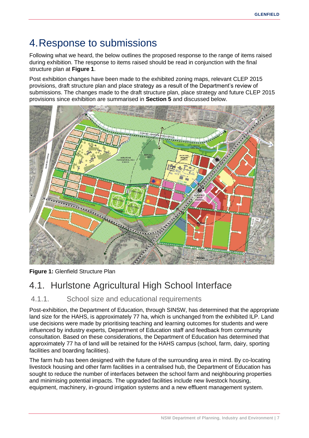# <span id="page-10-0"></span>4.Response to submissions

Following what we heard, the below outlines the proposed response to the range of items raised during exhibition. The response to items raised should be read in conjunction with the final structure plan at **Figure 1**.

Post exhibition changes have been made to the exhibited zoning maps, relevant CLEP 2015 provisions, draft structure plan and place strategy as a result of the Department's review of submissions. The changes made to the draft structure plan, place strategy and future CLEP 2015 provisions since exhibition are summarised in **Section [5](#page-22-0)** and discussed below.



**Figure 1:** Glenfield Structure Plan

# <span id="page-10-1"></span>4.1. Hurlstone Agricultural High School Interface

### <span id="page-10-2"></span>4.1.1. School size and educational requirements

Post-exhibition, the Department of Education, through SINSW, has determined that the appropriate land size for the HAHS, is approximately 77 ha, which is unchanged from the exhibited ILP. Land use decisions were made by prioritising teaching and learning outcomes for students and were influenced by industry experts, Department of Education staff and feedback from community consultation. Based on these considerations, the Department of Education has determined that approximately 77 ha of land will be retained for the HAHS campus (school, farm, dairy, sporting facilities and boarding facilities).

The farm hub has been designed with the future of the surrounding area in mind. By co-locating livestock housing and other farm facilities in a centralised hub, the Department of Education has sought to reduce the number of interfaces between the school farm and neighbouring properties and minimising potential impacts. The upgraded facilities include new livestock housing, equipment, machinery, in-ground irrigation systems and a new effluent management system.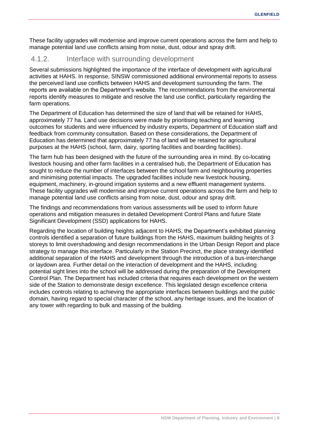These facility upgrades will modernise and improve current operations across the farm and help to manage potential land use conflicts arising from noise, dust, odour and spray drift.

### <span id="page-11-0"></span>4.1.2. Interface with surrounding development

Several submissions highlighted the importance of the interface of development with agricultural activities at HAHS. In response, SINSW commissioned additional environmental reports to assess the perceived land use conflicts between HAHS and development surrounding the farm. The reports are available on the Department's website. The recommendations from the environmental reports identify measures to mitigate and resolve the land use conflict, particularly regarding the farm operations.

The Department of Education has determined the size of land that will be retained for HAHS, approximately 77 ha. Land use decisions were made by prioritising teaching and learning outcomes for students and were influenced by industry experts, Department of Education staff and feedback from community consultation. Based on these considerations, the Department of Education has determined that approximately 77 ha of land will be retained for agricultural purposes at the HAHS (school, farm, dairy, sporting facilities and boarding facilities).

The farm hub has been designed with the future of the surrounding area in mind. By co-locating livestock housing and other farm facilities in a centralised hub, the Department of Education has sought to reduce the number of interfaces between the school farm and neighbouring properties and minimising potential impacts. The upgraded facilities include new livestock housing, equipment, machinery, in-ground irrigation systems and a new effluent management systems. These facility upgrades will modernise and improve current operations across the farm and help to manage potential land use conflicts arising from noise, dust, odour and spray drift.

The findings and recommendations from various assessments will be used to inform future operations and mitigation measures in detailed Development Control Plans and future State Significant Development (SSD) applications for HAHS.

Regarding the location of building heights adjacent to HAHS, the Department's exhibited planning controls identified a separation of future buildings from the HAHS, maximum building heights of 3 storeys to limit overshadowing and design recommendations in the Urban Design Report and place strategy to manage this interface. Particularly in the Station Precinct, the place strategy identified additional separation of the HAHS and development through the introduction of a bus-interchange or laydown area. Further detail on the interaction of development and the HAHS, including potential sight lines into the school will be addressed during the preparation of the Development Control Plan. The Department has included criteria that requires each development on the western side of the Station to demonstrate design excellence. This legislated design excellence criteria includes controls relating to achieving the appropriate interfaces between buildings and the public domain, having regard to special character of the school, any heritage issues, and the location of any tower with regarding to bulk and massing of the building.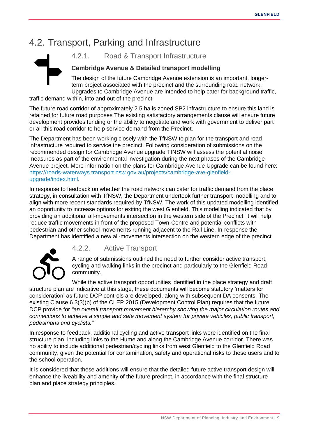# <span id="page-12-0"></span>4.2. Transport, Parking and Infrastructure



<span id="page-12-1"></span>4.2.1. Road & Transport Infrastructure

### **Cambridge Avenue & Detailed transport modelling**

The design of the future Cambridge Avenue extension is an important, longerterm project associated with the precinct and the surrounding road network. Upgrades to Cambridge Avenue are intended to help cater for background traffic,

traffic demand within, into and out of the precinct.

The future road corridor of approximately 2.5 ha is zoned SP2 infrastructure to ensure this land is retained for future road purposes The existing satisfactory arrangements clause will ensure future development provides funding or the ability to negotiate and work with government to deliver part or all this road corridor to help service demand from the Precinct.

The Department has been working closely with the TfNSW to plan for the transport and road infrastructure required to service the precinct. Following consideration of submissions on the recommended design for Cambridge Avenue upgrade TfNSW will assess the potential noise measures as part of the environmental investigation during the next phases of the Cambridge Avenue project. More information on the plans for Cambridge Avenue Upgrade can be found here: [https://roads-waterways.transport.nsw.gov.au/projects/cambridge-ave-glenfield](https://roads-waterways.transport.nsw.gov.au/projects/cambridge-ave-glenfield-upgrade/index.html)[upgrade/index.html.](https://roads-waterways.transport.nsw.gov.au/projects/cambridge-ave-glenfield-upgrade/index.html)

In response to feedback on whether the road network can cater for traffic demand from the place strategy, in consultation with TfNSW, the Department undertook further transport modelling and to align with more recent standards required by TfNSW. The work of this updated modelling identified an opportunity to increase options for exiting the west Glenfield. This modelling indicated that by providing an additional all-movements intersection in the western side of the Precinct, it will help reduce traffic movements in front of the proposed Town-Centre and potential conflicts with pedestrian and other school movements running adjacent to the Rail Line. In-response the Department has identified a new all-movements intersection on the western edge of the precinct.



### <span id="page-12-2"></span>4.2.2. Active Transport

A range of submissions outlined the need to further consider active transport, cycling and walking links in the precinct and particularly to the Glenfield Road community.

While the active transport opportunities identified in the place strategy and draft structure plan are indicative at this stage, these documents will become statutory 'matters for consideration' as future DCP controls are developed, along with subsequent DA consents. The existing Clause 6.3(3)(b) of the CLEP 2015 (Development Control Plan) requires that the future DCP provide for *"an overall transport movement hierarchy showing the major circulation routes and connections to achieve a simple and safe movement system for private vehicles, public transport, pedestrians and cyclists."*

In response to feedback, additional cycling and active transport links were identified on the final structure plan, including links to the Hume and along the Cambridge Avenue corridor. There was no ability to include additional pedestrian/cycling links from west Glenfield to the Glenfield Road community, given the potential for contamination, safety and operational risks to these users and to the school operation.

It is considered that these additions will ensure that the detailed future active transport design will enhance the liveability and amenity of the future precinct, in accordance with the final structure plan and place strategy principles.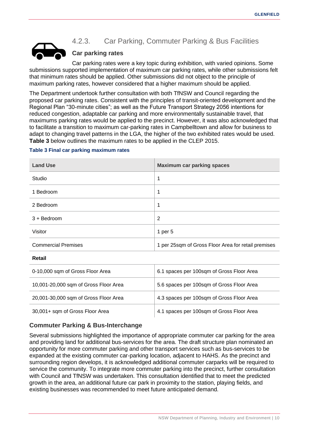

## <span id="page-13-0"></span>4.2.3. Car Parking, Commuter Parking & Bus Facilities

#### **Car parking rates**

Car parking rates were a key topic during exhibition, with varied opinions. Some submissions supported implementation of maximum car parking rates, while other submissions felt that minimum rates should be applied. Other submissions did not object to the principle of maximum parking rates, however considered that a higher maximum should be applied.

The Department undertook further consultation with both TfNSW and Council regarding the proposed car parking rates. Consistent with the principles of transit-oriented development and the Regional Plan "30-minute cities"; as well as the Future Transport Strategy 2056 intentions for reduced congestion, adaptable car parking and more environmentally sustainable travel, that maximums parking rates would be applied to the precinct. However, it was also acknowledged that to facilitate a transition to maximum car-parking rates in Campbelltown and allow for business to adapt to changing travel patterns in the LGA, the higher of the two exhibited rates would be used. **[Table 3](#page-13-1)** below outlines the maximum rates to be applied in the CLEP 2015.

#### <span id="page-13-1"></span>**Table 3 Final car parking maximum rates**

| <b>Land Use</b>            | <b>Maximum car parking spaces</b>                   |  |
|----------------------------|-----------------------------------------------------|--|
| Studio                     | 1                                                   |  |
| 1 Bedroom                  | 1                                                   |  |
| 2 Bedroom                  | 1                                                   |  |
| $3 +$ Bedroom              | 2                                                   |  |
| Visitor                    | 1 per $5$                                           |  |
| <b>Commercial Premises</b> | 1 per 25sqm of Gross Floor Area for retail premises |  |

#### **Retail**

| 0-10,000 sqm of Gross Floor Area      | 6.1 spaces per 100sqm of Gross Floor Area |  |
|---------------------------------------|-------------------------------------------|--|
| 10,001-20,000 sqm of Gross Floor Area | 5.6 spaces per 100sqm of Gross Floor Area |  |
| 20,001-30,000 sqm of Gross Floor Area | 4.3 spaces per 100sqm of Gross Floor Area |  |
| 30,001+ sqm of Gross Floor Area       | 4.1 spaces per 100sqm of Gross Floor Area |  |

#### **Commuter Parking & Bus-Interchange**

Several submissions highlighted the importance of appropriate commuter car parking for the area and providing land for additional bus-services for the area. The draft structure plan nominated an opportunity for more commuter parking and other transport services such as bus-services to be expanded at the existing commuter car-parking location, adjacent to HAHS. As the precinct and surrounding region develops, it is acknowledged additional commuter carparks will be required to service the community. To integrate more commuter parking into the precinct, further consultation with Council and TfNSW was undertaken. This consultation identified that to meet the predicted growth in the area, an additional future car park in proximity to the station, playing fields, and existing businesses was recommended to meet future anticipated demand.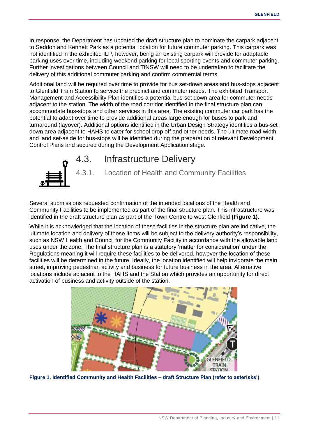In response, the Department has updated the draft structure plan to nominate the carpark adjacent to Seddon and Kennett Park as a potential location for future commuter parking. This carpark was not identified in the exhibited ILP, however, being an existing carpark will provide for adaptable parking uses over time, including weekend parking for local sporting events and commuter parking. Further investigations between Council and TfNSW will need to be undertaken to facilitate the delivery of this additional commuter parking and confirm commercial terms.

Additional land will be required over time to provide for bus set-down areas and bus-stops adjacent to Glenfield Train Station to service the precinct and commuter needs. The exhibited Transport Management and Accessibility Plan identifies a potential bus-set down area for commuter needs adjacent to the station. The width of the road corridor identified in the final structure plan can accommodate bus-stops and other services in this area. The existing commuter car park has the potential to adapt over time to provide additional areas large enough for buses to park and turnaround (layover). Additional options identified in the Urban Design Strategy identifies a bus-set down area adjacent to HAHS to cater for school drop off and other needs. The ultimate road width and land set-aside for bus-stops will be identified during the preparation of relevant Development Control Plans and secured during the Development Application stage.



## <span id="page-14-0"></span>4.3. Infrastructure Delivery

<span id="page-14-1"></span>4.3.1. Location of Health and Community Facilities

Several submissions requested confirmation of the intended locations of the Health and Community Facilities to be implemented as part of the final structure plan. This infrastructure was identified in the draft structure plan as part of the Town Centre to west Glenfield **[\(Figure 1\)](#page-14-2).**

While it is acknowledged that the location of these facilities in the structure plan are indicative, the ultimate location and delivery of these items will be subject to the delivery authority's responsibility, such as NSW Health and Council for the Community Facility in accordance with the allowable land uses under the zone. The final structure plan is a statutory 'matter for consideration' under the Regulations meaning it will require these facilities to be delivered, however the location of these facilities will be determined in the future. Ideally, the location identified will help invigorate the main street, improving pedestrian activity and business for future business in the area. Alternative locations include adjacent to the HAHS and the Station which provides an opportunity for direct activation of business and activity outside of the station.

<span id="page-14-2"></span>

**Figure 1. Identified Community and Health Facilities – draft Structure Plan (refer to asterisks')**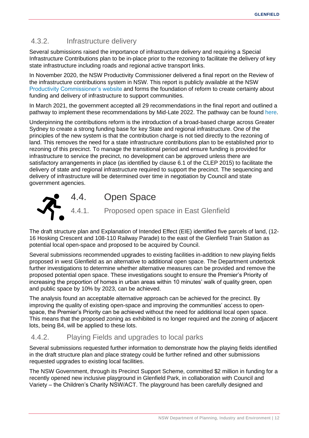## <span id="page-15-0"></span>4.3.2. Infrastructure delivery

Several submissions raised the importance of infrastructure delivery and requiring a Special Infrastructure Contributions plan to be in-place prior to the rezoning to facilitate the delivery of key state infrastructure including roads and regional active transport links.

In November 2020, the NSW Productivity Commissioner delivered a final report on the Review of the infrastructure contributions system in NSW. This report is publicly available at the NSW [Productivity Commissioner's website](https://www.productivity.nsw.gov.au/infrastructure-contributions-review) and forms the foundation of reform to create certainty about funding and delivery of infrastructure to support communities.

In March 2021, the government accepted all 29 recommendations in the final report and outlined a pathway to implement these recommendations by Mid-Late 2022. The pathway can be found [here.](https://www.planning.nsw.gov.au/-/media/Files/DPE/Other/Policy-and-legislation/roadmap-infrastructure-contributions-reform-2021-03.pdf?la=en)

Underpinning the contributions reform is the introduction of a broad-based charge across Greater Sydney to create a strong funding base for key State and regional infrastructure. One of the principles of the new system is that the contribution charge is not tied directly to the rezoning of land. This removes the need for a state infrastructure contributions plan to be established prior to rezoning of this precinct. To manage the transitional period and ensure funding is provided for infrastructure to service the precinct, no development can be approved unless there are satisfactory arrangements in place (as identified by clause 6.1 of the CLEP 2015) to facilitate the delivery of state and regional infrastructure required to support the precinct. The sequencing and delivery of infrastructure will be determined over time in negotiation by Council and state government agencies.

<span id="page-15-2"></span><span id="page-15-1"></span>

The draft structure plan and Explanation of Intended Effect (EIE) identified five parcels of land, (12- 16 Hosking Crescent and 108-110 Railway Parade) to the east of the Glenfield Train Station as potential local open-space and proposed to be acquired by Council.

Several submissions recommended upgrades to existing facilities in-addition to new playing fields proposed in west Glenfield as an alternative to additional open space. The Department undertook further investigations to determine whether alternative measures can be provided and remove the proposed potential open space. These investigations sought to ensure the Premier's Priority of increasing the proportion of homes in urban areas within 10 minutes' walk of quality green, open and public space by 10% by 2023, can be achieved.

The analysis found an acceptable alternative approach can be achieved for the precinct. By improving the quality of existing open-space and improving the communities' access to openspace, the Premier's Priority can be achieved without the need for additional local open space. This means that the proposed zoning as exhibited is no longer required and the zoning of adjacent lots, being B4, will be applied to these lots.

### <span id="page-15-3"></span>4.4.2. Playing Fields and upgrades to local parks

Several submissions requested further information to demonstrate how the playing fields identified in the draft structure plan and place strategy could be further refined and other submissions requested upgrades to existing local facilities.

The NSW Government, through its Precinct Support Scheme, committed \$2 million in funding for a recently opened new inclusive playground in Glenfield Park, in collaboration with Council and Variety – the Children's Charity NSW/ACT. The playground has been carefully designed and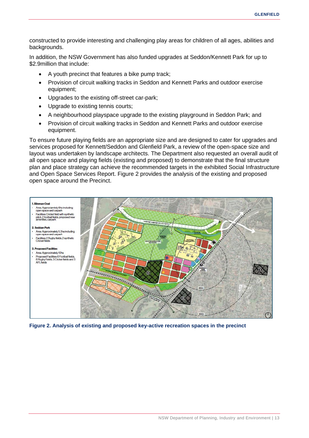constructed to provide interesting and challenging play areas for children of all ages, abilities and backgrounds.

In addition, the NSW Government has also funded upgrades at Seddon/Kennett Park for up to \$2.9million that include:

- A youth precinct that features a bike pump track;
- Provision of circuit walking tracks in Seddon and Kennett Parks and outdoor exercise equipment;
- Upgrades to the existing off-street car-park;
- Upgrade to existing tennis courts;
- A neighbourhood playspace upgrade to the existing playground in Seddon Park; and
- Provision of circuit walking tracks in Seddon and Kennett Parks and outdoor exercise equipment.

To ensure future playing fields are an appropriate size and are designed to cater for upgrades and services proposed for Kennett/Seddon and Glenfield Park, a review of the open-space size and layout was undertaken by landscape architects. The Department also requested an overall audit of all open space and playing fields (existing and proposed) to demonstrate that the final structure plan and place strategy can achieve the recommended targets in the exhibited Social Infrastructure and Open Space Services Report. [Figure 2](#page-16-0) provides the analysis of the existing and proposed open space around the Precinct.



<span id="page-16-0"></span>**Figure 2. Analysis of existing and proposed key-active recreation spaces in the precinct**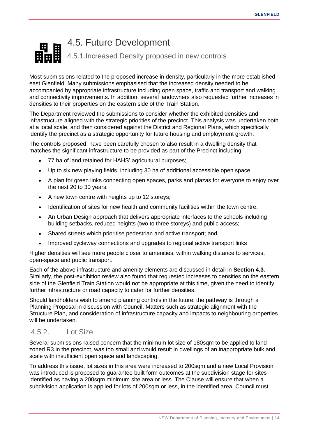# <span id="page-17-1"></span><span id="page-17-0"></span>4.5. Future Development 4.5.1.Increased Density proposed in new controls

Most submissions related to the proposed increase in density, particularly in the more established east Glenfield. Many submissions emphasised that the increased density needed to be accompanied by appropriate infrastructure including open space, traffic and transport and walking and connectivity improvements. In addition, several landowners also requested further increases in densities to their properties on the eastern side of the Train Station.

The Department reviewed the submissions to consider whether the exhibited densities and infrastructure aligned with the strategic priorities of the precinct. This analysis was undertaken both at a local scale, and then considered against the District and Regional Plans, which specifically identify the precinct as a strategic opportunity for future housing and employment growth.

The controls proposed, have been carefully chosen to also result in a dwelling density that matches the significant infrastructure to be provided as part of the Precinct including:

- 77 ha of land retained for HAHS' agricultural purposes;
- Up to six new playing fields, including 30 ha of additional accessible open space;
- A plan for green links connecting open spaces, parks and plazas for everyone to enjoy over the next 20 to 30 years;
- A new town centre with heights up to 12 storeys;
- Identification of sites for new health and community facilities within the town centre;
- An Urban Design approach that delivers appropriate interfaces to the schools including building setbacks, reduced heights (two to three storeys) and public access;
- Shared streets which prioritise pedestrian and active transport; and
- Improved cycleway connections and upgrades to regional active transport links

Higher densities will see more people closer to amenities, within walking distance to services, open-space and public transport.

Each of the above infrastructure and amenity elements are discussed in detail in **Section [4.3](#page-14-0)**. Similarly, the post-exhibition review also found that requested increases to densities on the eastern side of the Glenfield Train Station would not be appropriate at this time, given the need to identify further infrastructure or road capacity to cater for further densities.

Should landholders wish to amend planning controls in the future, the pathway is through a Planning Proposal in discussion with Council. Matters such as strategic alignment with the Structure Plan, and consideration of infrastructure capacity and impacts to neighbouring properties will be undertaken.

### <span id="page-17-2"></span>4.5.2. Lot Size

Several submissions raised concern that the minimum lot size of 180sqm to be applied to land zoned R3 in the precinct, was too small and would result in dwellings of an inappropriate bulk and scale with insufficient open space and landscaping.

To address this issue, lot sizes in this area were increased to 200sqm and a new Local Provision was introduced is proposed to guarantee built form outcomes at the subdivision stage for sites identified as having a 200sqm minimum site area or less. The Clause will ensure that when a subdivision application is applied for lots of 200sqm or less, in the identified area, Council must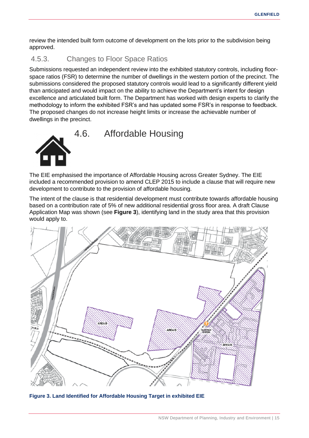review the intended built form outcome of development on the lots prior to the subdivision being approved.

### <span id="page-18-0"></span>4.5.3. Changes to Floor Space Ratios

Submissions requested an independent review into the exhibited statutory controls, including floorspace ratios (FSR) to determine the number of dwellings in the western portion of the precinct. The submissions considered the proposed statutory controls would lead to a significantly different yield than anticipated and would impact on the ability to achieve the Department's intent for design excellence and articulated built form. The Department has worked with design experts to clarify the methodology to inform the exhibited FSR's and has updated some FSR's in response to feedback. The proposed changes do not increase height limits or increase the achievable number of dwellings in the precinct.

<span id="page-18-1"></span>

The EIE emphasised the importance of Affordable Housing across Greater Sydney. The EIE included a recommended provision to amend CLEP 2015 to include a clause that will require new development to contribute to the provision of affordable housing.

The intent of the clause is that residential development must contribute towards affordable housing based on a contribution rate of 5% of new additional residential gross floor area. A draft Clause Application Map was shown (see **[Figure 3](#page-18-2)**), identifying land in the study area that this provision would apply to.



<span id="page-18-2"></span>**Figure 3. Land Identified for Affordable Housing Target in exhibited EIE**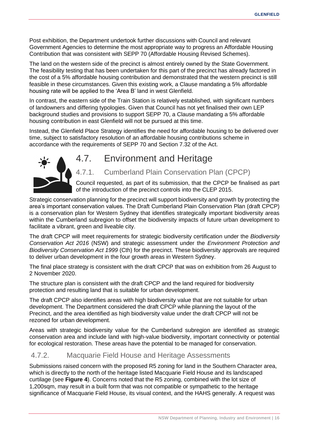Post exhibition, the Department undertook further discussions with Council and relevant Government Agencies to determine the most appropriate way to progress an Affordable Housing Contribution that was consistent with SEPP 70 (Affordable Housing Revised Schemes).

The land on the western side of the precinct is almost entirely owned by the State Government. The feasibility testing that has been undertaken for this part of the precinct has already factored in the cost of a 5% affordable housing contribution and demonstrated that the western precinct is still feasible in these circumstances. Given this existing work, a Clause mandating a 5% affordable housing rate will be applied to the 'Area B' land in west Glenfield.

In contrast, the eastern side of the Train Station is relatively established, with significant numbers of landowners and differing typologies. Given that Council has not yet finalised their own LEP background studies and provisions to support SEPP 70, a Clause mandating a 5% affordable housing contribution in east Glenfield will not be pursued at this time.

Instead, the Glenfield Place Strategy identifies the need for affordable housing to be delivered over time, subject to satisfactory resolution of an affordable housing contributions scheme in accordance with the requirements of SEPP 70 and Section 7.32 of the Act.



## <span id="page-19-0"></span>4.7. Environment and Heritage

<span id="page-19-1"></span>4.7.1. Cumberland Plain Conservation Plan (CPCP)

Council requested, as part of its submission, that the CPCP be finalised as part of the introduction of the precinct controls into the CLEP 2015.

Strategic conservation planning for the precinct will support biodiversity and growth by protecting the area's important conservation values. The Draft Cumberland Plain Conservation Plan (draft CPCP) is a conservation plan for Western Sydney that identifies strategically important biodiversity areas within the Cumberland subregion to offset the biodiversity impacts of future urban development to facilitate a vibrant, green and liveable city.

The draft CPCP will meet requirements for strategic biodiversity certification under the *Biodiversity Conservation Act 2016* (NSW) and strategic assessment under the *Environment Protection and Biodiversity Conservation Act 1999* (Cth) for the precinct. These biodiversity approvals are required to deliver urban development in the four growth areas in Western Sydney.

The final place strategy is consistent with the draft CPCP that was on exhibition from 26 August to 2 November 2020.

The structure plan is consistent with the draft CPCP and the land required for biodiversity protection and resulting land that is suitable for urban development.

The draft CPCP also identifies areas with high biodiversity value that are not suitable for urban development. The Department considered the draft CPCP while planning the layout of the Precinct, and the area identified as high biodiversity value under the draft CPCP will not be rezoned for urban development.

Areas with strategic biodiversity value for the Cumberland subregion are identified as strategic conservation area and include land with high-value biodiversity, important connectivity or potential for ecological restoration. These areas have the potential to be managed for conservation.

### <span id="page-19-2"></span>4.7.2. Macquarie Field House and Heritage Assessments

Submissions raised concern with the proposed R5 zoning for land in the Southern Character area, which is directly to the north of the heritage listed Macquarie Field House and its landscaped curtilage (see **[Figure 4](#page-20-1)**). Concerns noted that the R5 zoning, combined with the lot size of 1,200sqm, may result in a built form that was not compatible or sympathetic to the heritage significance of Macquarie Field House, its visual context, and the HAHS generally. A request was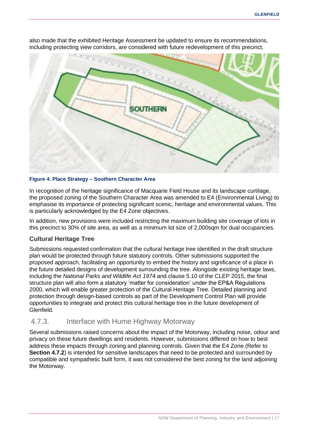

also made that the exhibited Heritage Assessment be updated to ensure its recommendations, including protecting view corridors, are considered with future redevelopment of this precinct.

#### <span id="page-20-1"></span>**Figure 4. Place Strategy – Southern Character Area**

In recognition of the heritage significance of Macquarie Field House and its landscape curtilage, the proposed zoning of the Southern Character Area was amended to E4 (Environmental Living) to emphasise its importance of protecting significant scenic, heritage and environmental values. This is particularly acknowledged by the E4 Zone objectives.

In addition, new provisions were included restricting the maximum building site coverage of lots in this precinct to 30% of site area, as well as a minimum lot size of 2,000sqm for dual occupancies.

#### **Cultural Heritage Tree**

Submissions requested confirmation that the cultural heritage tree identified in the draft structure plan would be protected through future statutory controls. Other submissions supported the proposed approach, facilitating an opportunity to embed the history and significance of a place in the future detailed designs of development surrounding the tree. Alongside existing heritage laws, including the *National Parks and Wildlife Act 1974* and clause 5.10 of the CLEP 2015, the final structure plan will also form a statutory 'matter for consideration' under the EP&A Regulations 2000, which will enable greater protection of the Cultural Heritage Tree. Detailed planning and protection through design-based controls as part of the Development Control Plan will provide opportunities to integrate and protect this cultural heritage tree in the future development of Glenfield.

### <span id="page-20-0"></span>4.7.3. Interface with Hume Highway Motorway

Several submissions raised concerns about the impact of the Motorway, including noise, odour and privacy on these future dwellings and residents. However, submissions differed on how to best address these impacts through zoning and planning controls. Given that the E4 Zone (Refer to **Section [4.7.2](#page-19-2)**) is intended for sensitive landscapes that need to be protected and surrounded by compatible and sympathetic built form, it was not considered the best zoning for the land adjoining the Motorway.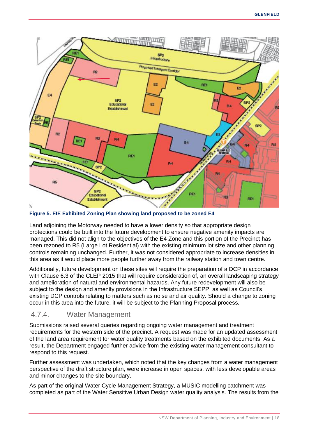

**Figure 5. EIE Exhibited Zoning Plan showing land proposed to be zoned E4**

Land adjoining the Motorway needed to have a lower density so that appropriate design protections could be built into the future development to ensure negative amenity impacts are managed. This did not align to the objectives of the E4 Zone and this portion of the Precinct has been rezoned to R5 (Large Lot Residential) with the existing minimum lot size and other planning controls remaining unchanged. Further, it was not considered appropriate to increase densities in this area as it would place more people further away from the railway station and town centre.

Additionally, future development on these sites will require the preparation of a DCP in accordance with Clause 6.3 of the CLEP 2015 that will require consideration of, an overall landscaping strategy and amelioration of natural and environmental hazards. Any future redevelopment will also be subject to the design and amenity provisions in the Infrastructure SEPP, as well as Council's existing DCP controls relating to matters such as noise and air quality. Should a change to zoning occur in this area into the future, it will be subject to the Planning Proposal process.

### <span id="page-21-0"></span>4.7.4. Water Management

Submissions raised several queries regarding ongoing water management and treatment requirements for the western side of the precinct. A request was made for an updated assessment of the land area requirement for water quality treatments based on the exhibited documents. As a result, the Department engaged further advice from the existing water management consultant to respond to this request.

Further assessment was undertaken, which noted that the key changes from a water management perspective of the draft structure plan, were increase in open spaces, with less developable areas and minor changes to the site boundary.

As part of the original Water Cycle Management Strategy, a MUSIC modelling catchment was completed as part of the Water Sensitive Urban Design water quality analysis. The results from the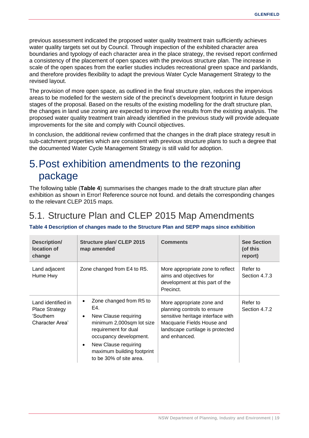previous assessment indicated the proposed water quality treatment train sufficiently achieves water quality targets set out by Council. Through inspection of the exhibited character area boundaries and typology of each character area in the place strategy, the revised report confirmed a consistency of the placement of open spaces with the previous structure plan. The increase in scale of the open spaces from the earlier studies includes recreational green space and parklands, and therefore provides flexibility to adapt the previous Water Cycle Management Strategy to the revised layout.

The provision of more open space, as outlined in the final structure plan, reduces the impervious areas to be modelled for the western side of the precinct's development footprint in future design stages of the proposal. Based on the results of the existing modelling for the draft structure plan, the changes in land use zoning are expected to improve the results from the existing analysis. The proposed water quality treatment train already identified in the previous study will provide adequate improvements for the site and comply with Council objectives.

In conclusion, the additional review confirmed that the changes in the draft place strategy result in sub-catchment properties which are consistent with previous structure plans to such a degree that the documented Water Cycle Management Strategy is still valid for adoption.

# <span id="page-22-0"></span>5.Post exhibition amendments to the rezoning package

The following table (**[Table 4](#page-22-2)**) summarises the changes made to the draft structure plan after exhibition as shown in Error! Reference source not found. and details the corresponding changes to the relevant CLEP 2015 maps.

# <span id="page-22-1"></span>5.1. Structure Plan and CLEP 2015 Map Amendments

#### <span id="page-22-2"></span>**Table 4 Description of changes made to the Structure Plan and SEPP maps since exhibition**

| <b>Description/</b><br>location of<br>change                                | <b>Structure plan/ CLEP 2015</b><br>map amended                                                                                                                                                                                                       | <b>Comments</b>                                                                                                                                                                  | <b>See Section</b><br>(of this<br>report) |
|-----------------------------------------------------------------------------|-------------------------------------------------------------------------------------------------------------------------------------------------------------------------------------------------------------------------------------------------------|----------------------------------------------------------------------------------------------------------------------------------------------------------------------------------|-------------------------------------------|
| Land adjacent<br>Hume Hwy                                                   | Zone changed from E4 to R5.                                                                                                                                                                                                                           | More appropriate zone to reflect<br>aims and objectives for<br>development at this part of the<br>Precinct.                                                                      | Refer to<br>Section 4.7.3                 |
| Land identified in<br><b>Place Strategy</b><br>'Southern<br>Character Area' | Zone changed from R5 to<br>٠<br>E4.<br>New Clause requiring<br>$\bullet$<br>minimum 2,000sqm lot size<br>requirement for dual<br>occupancy development.<br>New Clause requiring<br>$\bullet$<br>maximum building footprint<br>to be 30% of site area. | More appropriate zone and<br>planning controls to ensure<br>sensitive heritage interface with<br>Macquarie Fields House and<br>landscape curtilage is protected<br>and enhanced. | Refer to<br>Section 4.7.2                 |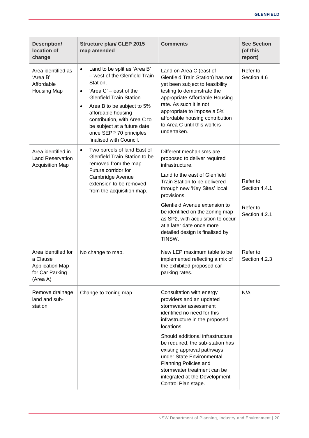| <b>Description/</b><br>location of<br>change                                             | <b>Structure plan/ CLEP 2015</b><br>map amended                                                                                                                                                                                                                                                                                                        | <b>Comments</b>                                                                                                                                                                                                                                                                                           | <b>See Section</b><br>(of this<br>report) |
|------------------------------------------------------------------------------------------|--------------------------------------------------------------------------------------------------------------------------------------------------------------------------------------------------------------------------------------------------------------------------------------------------------------------------------------------------------|-----------------------------------------------------------------------------------------------------------------------------------------------------------------------------------------------------------------------------------------------------------------------------------------------------------|-------------------------------------------|
| Area identified as<br>'Area B'<br>Affordable<br><b>Housing Map</b>                       | Land to be split as 'Area B'<br>$\bullet$<br>- west of the Glenfield Train<br>Station.<br>'Area C' – east of the<br>$\bullet$<br><b>Glenfield Train Station.</b><br>Area B to be subject to 5%<br>$\bullet$<br>affordable housing<br>contribution, with Area C to<br>be subject at a future date<br>once SEPP 70 principles<br>finalised with Council. | Land on Area C (east of<br>Glenfield Train Station) has not<br>yet been subject to feasibility<br>testing to demonstrate the<br>appropriate Affordable Housing<br>rate. As such it is not<br>appropriate to impose a 5%<br>affordable housing contribution<br>to Area C until this work is<br>undertaken. | Refer to<br>Section 4.6                   |
| Area identified in<br><b>Land Reservation</b><br><b>Acquisition Map</b>                  | Two parcels of land East of<br>$\bullet$<br>Glenfield Train Station to be<br>removed from the map.<br>Future corridor for<br>Cambridge Avenue<br>extension to be removed<br>from the acquisition map.                                                                                                                                                  | Different mechanisms are<br>proposed to deliver required<br>infrastructure.                                                                                                                                                                                                                               |                                           |
|                                                                                          |                                                                                                                                                                                                                                                                                                                                                        | Land to the east of Glenfield<br>Train Station to be delivered<br>through new 'Key Sites' local<br>provisions.                                                                                                                                                                                            | Refer to<br>Section 4.4.1                 |
|                                                                                          |                                                                                                                                                                                                                                                                                                                                                        | Glenfield Avenue extension to<br>be identified on the zoning map<br>as SP2, with acquisition to occur<br>at a later date once more<br>detailed design is finalised by<br>TfNSW.                                                                                                                           | Refer to<br>Section 4.2.1                 |
| Area identified for<br>a Clause<br><b>Application Map</b><br>for Car Parking<br>(Area A) | No change to map.                                                                                                                                                                                                                                                                                                                                      | New LEP maximum table to be<br>implemented reflecting a mix of<br>the exhibited proposed car<br>parking rates.                                                                                                                                                                                            | Refer to<br>Section 4.2.3                 |
| Remove drainage<br>land and sub-<br>station                                              | Change to zoning map.                                                                                                                                                                                                                                                                                                                                  | Consultation with energy<br>providers and an updated<br>stormwater assessment<br>identified no need for this<br>infrastructure in the proposed<br>locations.                                                                                                                                              | N/A                                       |
|                                                                                          |                                                                                                                                                                                                                                                                                                                                                        | Should additional infrastructure<br>be required, the sub-station has<br>existing approval pathways<br>under State Environmental<br>Planning Policies and<br>stormwater treatment can be<br>integrated at the Development<br>Control Plan stage.                                                           |                                           |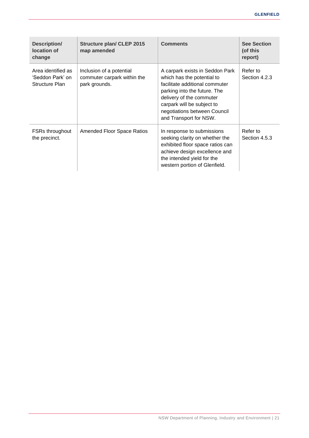| <b>Description/</b><br>location of<br>change             | <b>Structure plan/ CLEP 2015</b><br>map amended                          | <b>Comments</b>                                                                                                                                                                                                                                     | <b>See Section</b><br>(of this<br>report) |
|----------------------------------------------------------|--------------------------------------------------------------------------|-----------------------------------------------------------------------------------------------------------------------------------------------------------------------------------------------------------------------------------------------------|-------------------------------------------|
| Area identified as<br>'Seddon Park' on<br>Structure Plan | Inclusion of a potential<br>commuter carpark within the<br>park grounds. | A carpark exists in Seddon Park<br>which has the potential to<br>facilitate additional commuter<br>parking into the future. The<br>delivery of the commuter<br>carpark will be subject to<br>negotiations between Council<br>and Transport for NSW. | Refer to<br>Section 4.2.3                 |
| <b>FSRs throughout</b><br>the precinct.                  | Amended Floor Space Ratios                                               | In response to submissions<br>seeking clarity on whether the<br>exhibited floor space ratios can<br>achieve design excellence and<br>the intended yield for the<br>western portion of Glenfield.                                                    | Refer to<br>Section 4.5.3                 |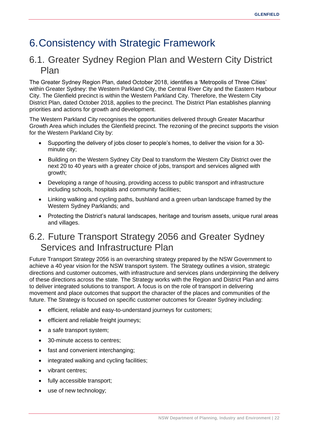# <span id="page-25-0"></span>6.Consistency with Strategic Framework

## <span id="page-25-1"></span>6.1. Greater Sydney Region Plan and Western City District Plan

The Greater Sydney Region Plan, dated October 2018, identifies a 'Metropolis of Three Cities' within Greater Sydney: the Western Parkland City, the Central River City and the Eastern Harbour City. The Glenfield precinct is within the Western Parkland City. Therefore, the Western City District Plan, dated October 2018, applies to the precinct. The District Plan establishes planning priorities and actions for growth and development.

The Western Parkland City recognises the opportunities delivered through Greater Macarthur Growth Area which includes the Glenfield precinct. The rezoning of the precinct supports the vision for the Western Parkland City by:

- Supporting the delivery of jobs closer to people's homes, to deliver the vision for a 30 minute city;
- Building on the Western Sydney City Deal to transform the Western City District over the next 20 to 40 years with a greater choice of jobs, transport and services aligned with growth;
- Developing a range of housing, providing access to public transport and infrastructure including schools, hospitals and community facilities;
- Linking walking and cycling paths, bushland and a green urban landscape framed by the Western Sydney Parklands; and
- Protecting the District's natural landscapes, heritage and tourism assets, unique rural areas and villages.

## <span id="page-25-2"></span>6.2. Future Transport Strategy 2056 and Greater Sydney Services and Infrastructure Plan

Future Transport Strategy 2056 is an overarching strategy prepared by the NSW Government to achieve a 40 year vision for the NSW transport system. The Strategy outlines a vision, strategic directions and customer outcomes, with infrastructure and services plans underpinning the delivery of these directions across the state. The Strategy works with the Region and District Plan and aims to deliver integrated solutions to transport. A focus is on the role of transport in delivering movement and place outcomes that support the character of the places and communities of the future. The Strategy is focused on specific customer outcomes for Greater Sydney including:

- efficient, reliable and easy-to-understand journeys for customers;
- efficient and reliable freight journeys;
- a safe transport system;
- 30-minute access to centres:
- fast and convenient interchanging;
- integrated walking and cycling facilities;
- vibrant centres:
- fully accessible transport;
- use of new technology;